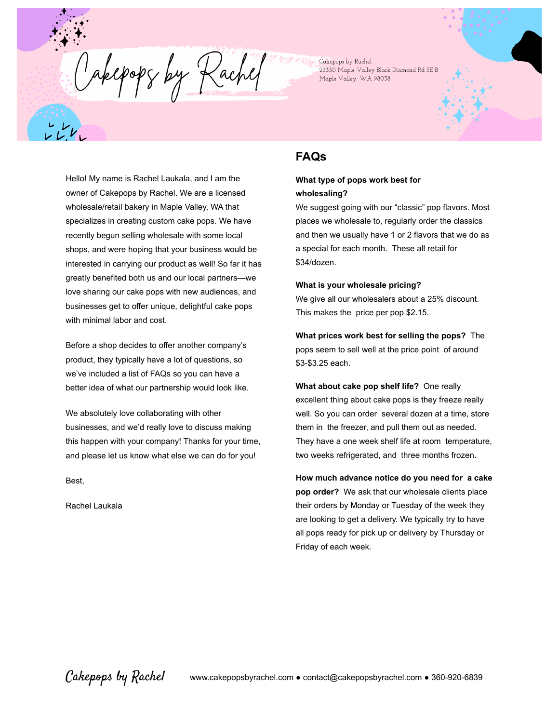Cakepops by Rachel 23330 Maple Valley Black Diamond Rd SE B Maple Valley, WA 98038

Hello! My name is Rachel Laukala, and I am the owner of Cakepops by Rachel. We are a licensed wholesale/retail bakery in Maple Valley, WA that specializes in creating custom cake pops. We have recently begun selling wholesale with some local shops, and were hoping that your business would be interested in carrying our product as well! So far it has greatly benefited both us and our local partners—we love sharing our cake pops with new audiences, and businesses get to offer unique, delightful cake pops with minimal labor and cost.

Cakepopy by Rachel

Before a shop decides to offer another company's product, they typically have a lot of questions, so we've included a list of FAQs so you can have a better idea of what our partnership would look like.

We absolutely love collaborating with other businesses, and we'd really love to discuss making this happen with your company! Thanks for your time, and please let us know what else we can do for you!

Best,

Rachel Laukala

# **FAQs**

## **What type of pops work best for wholesaling?**

We suggest going with our "classic" pop flavors. Most places we wholesale to, regularly order the classics and then we usually have 1 or 2 flavors that we do as a special for each month. These all retail for \$34/dozen.

### **What is your wholesale pricing?**

We give all our wholesalers about a 25% discount. This makes the price per pop \$2.15.

**What prices work best for selling the pops?** The pops seem to sell well at the price point of around \$3-\$3.25 each.

**What about cake pop shelf life?** One really excellent thing about cake pops is they freeze really well. So you can order several dozen at a time, store them in the freezer, and pull them out as needed. They have a one week shelf life at room temperature, two weeks refrigerated, and three months frozen**.**

**How much advance notice do you need for a cake pop order?** We ask that our wholesale clients place their orders by Monday or Tuesday of the week they are looking to get a delivery. We typically try to have all pops ready for pick up or delivery by Thursday or Friday of each week.